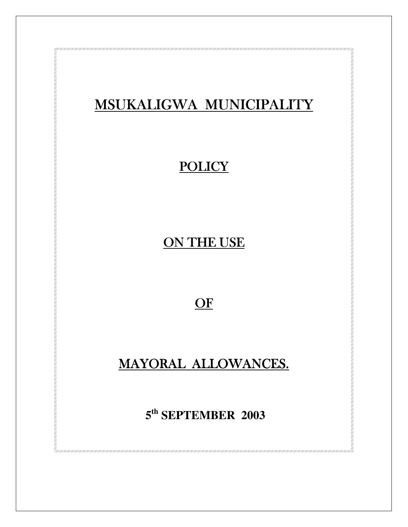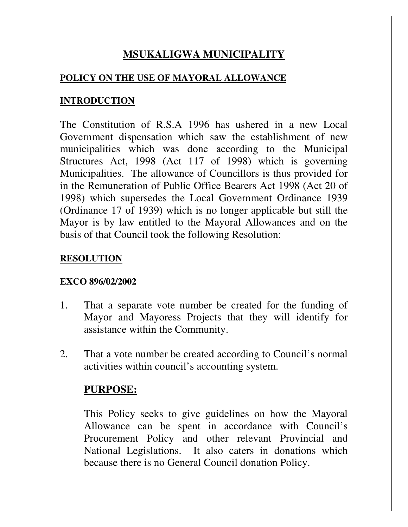# **MSUKALIGWA MUNICIPALITY**

#### **POLICY ON THE USE OF MAYORAL ALLOWANCE**

#### **INTRODUCTION**

The Constitution of R.S.A 1996 has ushered in a new Local Government dispensation which saw the establishment of new municipalities which was done according to the Municipal Structures Act, 1998 (Act 117 of 1998) which is governing Municipalities. The allowance of Councillors is thus provided for in the Remuneration of Public Office Bearers Act 1998 (Act 20 of 1998) which supersedes the Local Government Ordinance 1939 (Ordinance 17 of 1939) which is no longer applicable but still the Mayor is by law entitled to the Mayoral Allowances and on the basis of that Council took the following Resolution:

#### **RESOLUTION**

#### **EXCO 896/02/2002**

- 1. That a separate vote number be created for the funding of Mayor and Mayoress Projects that they will identify for assistance within the Community.
- 2. That a vote number be created according to Council's normal activities within council's accounting system.

### **PURPOSE:**

This Policy seeks to give guidelines on how the Mayoral Allowance can be spent in accordance with Council's Procurement Policy and other relevant Provincial and National Legislations. It also caters in donations which because there is no General Council donation Policy.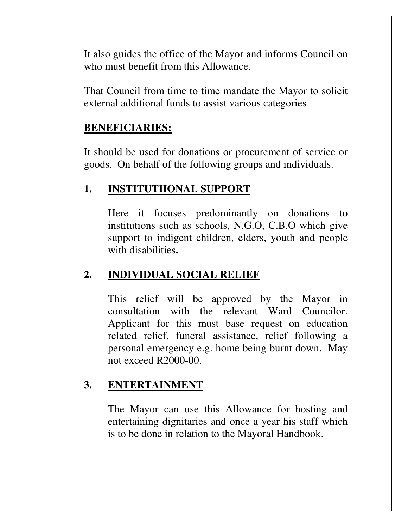It also guides the office of the Mayor and informs Council on who must benefit from this Allowance.

That Council from time to time mandate the Mayor to solicit external additional funds to assist various categories

#### **BENEFICIARIES:**

It should be used for donations or procurement of service or goods. On behalf of the following groups and individuals.

### **1. INSTITUTIIONAL SUPPORT**

Here it focuses predominantly on donations to institutions such as schools, N.G.O, C.B.O which give support to indigent children, elders, youth and people with disabilities**.**

## **2. INDIVIDUAL SOCIAL RELIEF**

This relief will be approved by the Mayor in consultation with the relevant Ward Councilor. Applicant for this must base request on education related relief, funeral assistance, relief following a personal emergency e.g. home being burnt down. May not exceed R2000-00.

### **3. ENTERTAINMENT**

The Mayor can use this Allowance for hosting and entertaining dignitaries and once a year his staff which is to be done in relation to the Mayoral Handbook.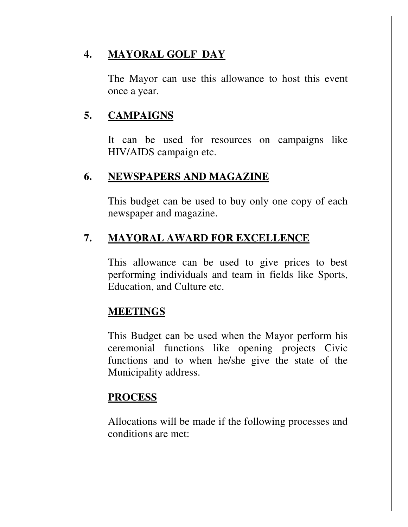# **4. MAYORAL GOLF DAY**

The Mayor can use this allowance to host this event once a year.

## **5. CAMPAIGNS**

It can be used for resources on campaigns like HIV/AIDS campaign etc.

### **6. NEWSPAPERS AND MAGAZINE**

This budget can be used to buy only one copy of each newspaper and magazine.

# **7. MAYORAL AWARD FOR EXCELLENCE**

This allowance can be used to give prices to best performing individuals and team in fields like Sports, Education, and Culture etc.

## **MEETINGS**

This Budget can be used when the Mayor perform his ceremonial functions like opening projects Civic functions and to when he/she give the state of the Municipality address.

## **PROCESS**

Allocations will be made if the following processes and conditions are met: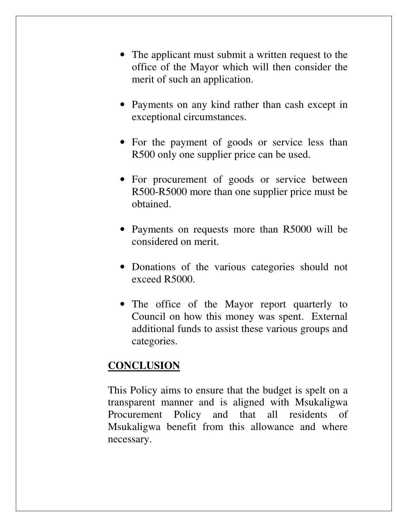- The applicant must submit a written request to the office of the Mayor which will then consider the merit of such an application.
- Payments on any kind rather than cash except in exceptional circumstances.
- For the payment of goods or service less than R500 only one supplier price can be used.
- For procurement of goods or service between R500-R5000 more than one supplier price must be obtained.
- Payments on requests more than R5000 will be considered on merit.
- Donations of the various categories should not exceed R5000.
- The office of the Mayor report quarterly to Council on how this money was spent. External additional funds to assist these various groups and categories.

#### **CONCLUSION**

This Policy aims to ensure that the budget is spelt on a transparent manner and is aligned with Msukaligwa Procurement Policy and that all residents of Msukaligwa benefit from this allowance and where necessary.